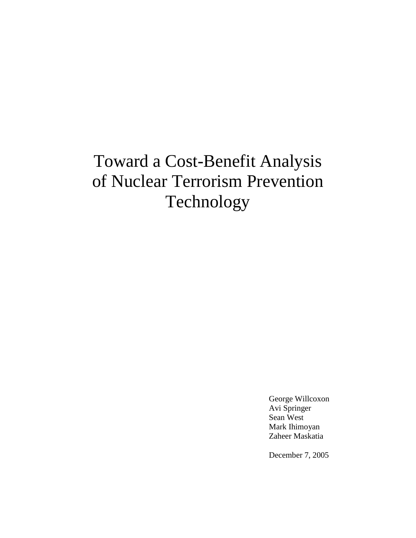# Toward a Cost-Benefit Analysis of Nuclear Terrorism Prevention Technology

 George Willcoxon Avi Springer Sean West Mark Ihimoyan Zaheer Maskatia

December 7, 2005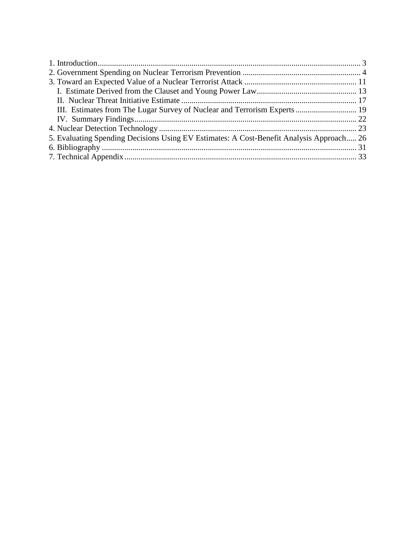| 5. Evaluating Spending Decisions Using EV Estimates: A Cost-Benefit Analysis Approach 26 |  |
|------------------------------------------------------------------------------------------|--|
|                                                                                          |  |
|                                                                                          |  |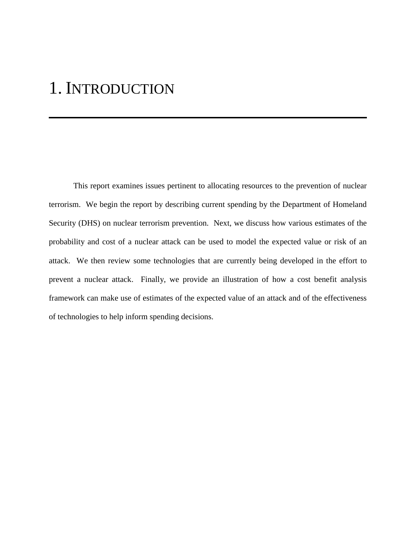### 1. INTRODUCTION

 This report examines issues pertinent to allocating resources to the prevention of nuclear terrorism. We begin the report by describing current spending by the Department of Homeland Security (DHS) on nuclear terrorism prevention. Next, we discuss how various estimates of the probability and cost of a nuclear attack can be used to model the expected value or risk of an attack. We then review some technologies that are currently being developed in the effort to prevent a nuclear attack. Finally, we provide an illustration of how a cost benefit analysis framework can make use of estimates of the expected value of an attack and of the effectiveness of technologies to help inform spending decisions.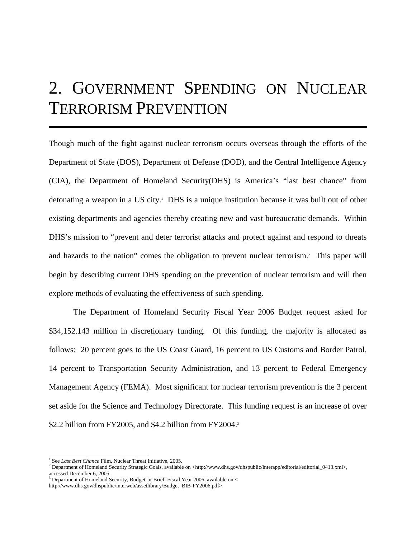## 2. GOVERNMENT SPENDING ON NUCLEAR TERRORISM PREVENTION

Though much of the fight against nuclear terrorism occurs overseas through the efforts of the Department of State (DOS), Department of Defense (DOD), and the Central Intelligence Agency (CIA), the Department of Homeland Security(DHS) is America's "last best chance" from detonating a weapon in a US city.1 DHS is a unique institution because it was built out of other existing departments and agencies thereby creating new and vast bureaucratic demands. Within DHS's mission to "prevent and deter terrorist attacks and protect against and respond to threats and hazards to the nation" comes the obligation to prevent nuclear terrorism.<sup>2</sup> This paper will begin by describing current DHS spending on the prevention of nuclear terrorism and will then explore methods of evaluating the effectiveness of such spending.

 The Department of Homeland Security Fiscal Year 2006 Budget request asked for \$34,152.143 million in discretionary funding. Of this funding, the majority is allocated as follows: 20 percent goes to the US Coast Guard, 16 percent to US Customs and Border Patrol, 14 percent to Transportation Security Administration, and 13 percent to Federal Emergency Management Agency (FEMA). Most significant for nuclear terrorism prevention is the 3 percent set aside for the Science and Technology Directorate. This funding request is an increase of over \$2.2 billion from FY2005, and \$4.2 billion from FY2004.3

<sup>&</sup>lt;sup>1</sup> See *Last Best Chance* Film, Nuclear Threat Initiative, 2005.

<sup>&</sup>lt;sup>2</sup> Department of Homeland Security Strategic Goals, available on <http://www.dhs.gov/dhspublic/interapp/editorial/editorial\_0413.xml>, accessed December 6, 2005.

 $3$  Department of Homeland Security, Budget-in-Brief, Fiscal Year 2006, available on  $<$ 

http://www.dhs.gov/dhspublic/interweb/assetlibrary/Budget\_BIB-FY2006.pdf>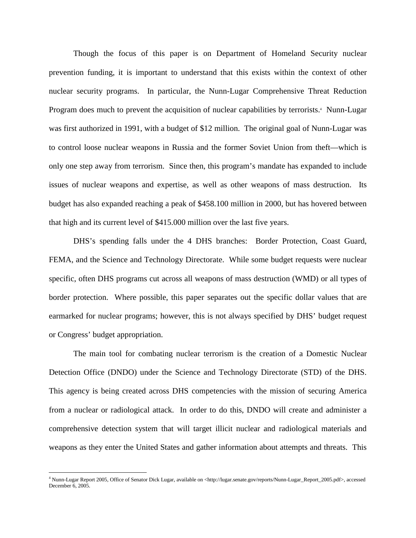Though the focus of this paper is on Department of Homeland Security nuclear prevention funding, it is important to understand that this exists within the context of other nuclear security programs. In particular, the Nunn-Lugar Comprehensive Threat Reduction Program does much to prevent the acquisition of nuclear capabilities by terrorists.<sup>4</sup> Nunn-Lugar was first authorized in 1991, with a budget of \$12 million. The original goal of Nunn-Lugar was to control loose nuclear weapons in Russia and the former Soviet Union from theft—which is only one step away from terrorism. Since then, this program's mandate has expanded to include issues of nuclear weapons and expertise, as well as other weapons of mass destruction. Its budget has also expanded reaching a peak of \$458.100 million in 2000, but has hovered between that high and its current level of \$415.000 million over the last five years.

DHS's spending falls under the 4 DHS branches: Border Protection, Coast Guard, FEMA, and the Science and Technology Directorate. While some budget requests were nuclear specific, often DHS programs cut across all weapons of mass destruction (WMD) or all types of border protection. Where possible, this paper separates out the specific dollar values that are earmarked for nuclear programs; however, this is not always specified by DHS' budget request or Congress' budget appropriation.

The main tool for combating nuclear terrorism is the creation of a Domestic Nuclear Detection Office (DNDO) under the Science and Technology Directorate (STD) of the DHS. This agency is being created across DHS competencies with the mission of securing America from a nuclear or radiological attack. In order to do this, DNDO will create and administer a comprehensive detection system that will target illicit nuclear and radiological materials and weapons as they enter the United States and gather information about attempts and threats. This

<u>.</u>

<sup>4</sup> Nunn-Lugar Report 2005, Office of Senator Dick Lugar, available on <http://lugar.senate.gov/reports/Nunn-Lugar\_Report\_2005.pdf>, accessed December 6, 2005.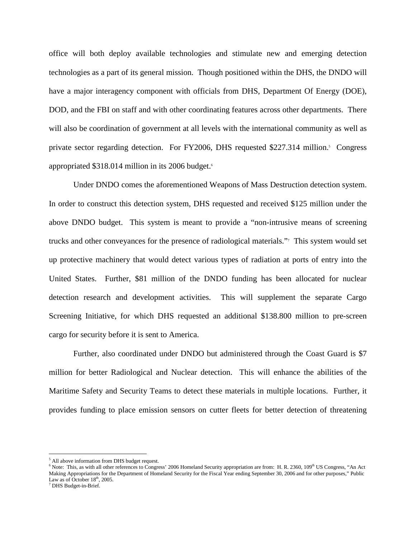office will both deploy available technologies and stimulate new and emerging detection technologies as a part of its general mission. Though positioned within the DHS, the DNDO will have a major interagency component with officials from DHS, Department Of Energy (DOE), DOD, and the FBI on staff and with other coordinating features across other departments. There will also be coordination of government at all levels with the international community as well as private sector regarding detection. For FY2006, DHS requested \$227.314 million.<sup>5</sup> Congress appropriated \$318.014 million in its 2006 budget.<sup>6</sup>

 Under DNDO comes the aforementioned Weapons of Mass Destruction detection system. In order to construct this detection system, DHS requested and received \$125 million under the above DNDO budget. This system is meant to provide a "non-intrusive means of screening trucks and other conveyances for the presence of radiological materials."7 This system would set up protective machinery that would detect various types of radiation at ports of entry into the United States. Further, \$81 million of the DNDO funding has been allocated for nuclear detection research and development activities. This will supplement the separate Cargo Screening Initiative, for which DHS requested an additional \$138.800 million to pre-screen cargo for security before it is sent to America.

Further, also coordinated under DNDO but administered through the Coast Guard is \$7 million for better Radiological and Nuclear detection. This will enhance the abilities of the Maritime Safety and Security Teams to detect these materials in multiple locations. Further, it provides funding to place emission sensors on cutter fleets for better detection of threatening

<sup>&</sup>lt;sup>5</sup> All above information from DHS budget request.

 $6$  Note: This, as with all other references to Congress' 2006 Homeland Security appropriation are from: H. R. 2360,  $109<sup>th</sup>$  US Congress, "An Act Making Appropriations for the Department of Homeland Security for the Fiscal Year ending September 30, 2006 and for other purposes," Public Law as of October  $18<sup>th</sup>$ , 2005.

DHS Budget-in-Brief.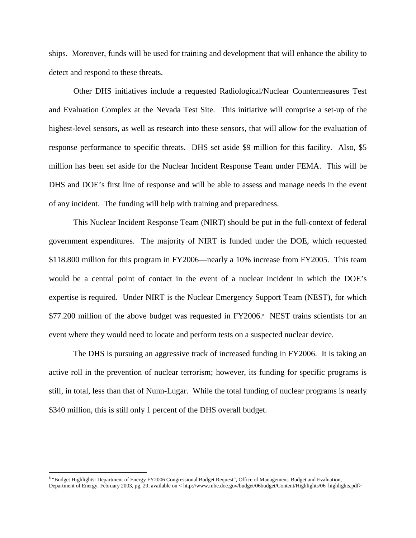ships. Moreover, funds will be used for training and development that will enhance the ability to detect and respond to these threats.

Other DHS initiatives include a requested Radiological/Nuclear Countermeasures Test and Evaluation Complex at the Nevada Test Site. This initiative will comprise a set-up of the highest-level sensors, as well as research into these sensors, that will allow for the evaluation of response performance to specific threats. DHS set aside \$9 million for this facility. Also, \$5 million has been set aside for the Nuclear Incident Response Team under FEMA. This will be DHS and DOE's first line of response and will be able to assess and manage needs in the event of any incident. The funding will help with training and preparedness.

This Nuclear Incident Response Team (NIRT) should be put in the full-context of federal government expenditures. The majority of NIRT is funded under the DOE, which requested \$118.800 million for this program in FY2006—nearly a 10% increase from FY2005. This team would be a central point of contact in the event of a nuclear incident in which the DOE's expertise is required. Under NIRT is the Nuclear Emergency Support Team (NEST), for which \$77.200 million of the above budget was requested in FY2006.<sup>8</sup> NEST trains scientists for an event where they would need to locate and perform tests on a suspected nuclear device.

The DHS is pursuing an aggressive track of increased funding in FY2006. It is taking an active roll in the prevention of nuclear terrorism; however, its funding for specific programs is still, in total, less than that of Nunn-Lugar. While the total funding of nuclear programs is nearly \$340 million, this is still only 1 percent of the DHS overall budget.

<u>.</u>

<sup>&</sup>lt;sup>8</sup> "Budget Highlights: Department of Energy FY2006 Congressional Budget Request", Office of Management, Budget and Evaluation, Department of Energy, February 2003, pg. 29, available on < http://www.mbe.doe.gov/budget/06budget/Content/Highlights/06\_highlights.pdf>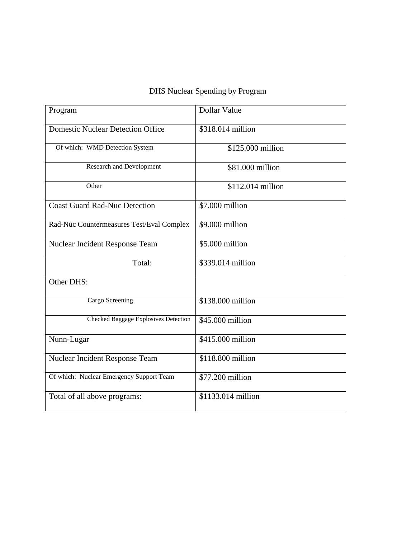### DHS Nuclear Spending by Program

| Program                                   | Dollar Value       |
|-------------------------------------------|--------------------|
| <b>Domestic Nuclear Detection Office</b>  | \$318.014 million  |
| Of which: WMD Detection System            | \$125.000 million  |
| <b>Research and Development</b>           | \$81.000 million   |
| Other                                     | \$112.014 million  |
| <b>Coast Guard Rad-Nuc Detection</b>      | \$7.000 million    |
| Rad-Nuc Countermeasures Test/Eval Complex | \$9.000 million    |
| Nuclear Incident Response Team            | $$5.000$ million   |
| Total:                                    | $$339.014$ million |
| Other DHS:                                |                    |
| Cargo Screening                           | $$138.000$ million |
| Checked Baggage Explosives Detection      | \$45,000 million   |
| Nunn-Lugar                                | \$415.000 million  |
| Nuclear Incident Response Team            | \$118.800 million  |
| Of which: Nuclear Emergency Support Team  | \$77.200 million   |
|                                           |                    |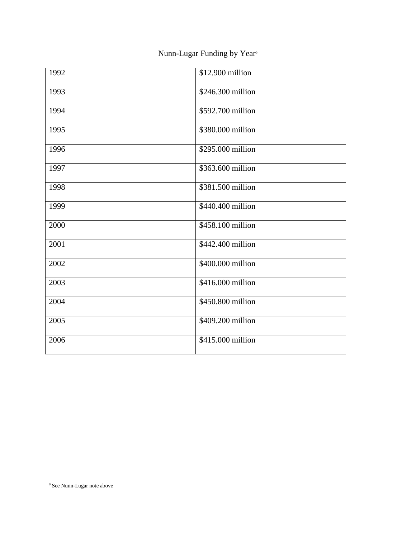### Nunn-Lugar Funding by Year<sup>9</sup>

| 1992 | \$12.900 million  |
|------|-------------------|
| 1993 | \$246.300 million |
| 1994 | \$592.700 million |
| 1995 | \$380.000 million |
| 1996 | \$295.000 million |
| 1997 | \$363.600 million |
| 1998 | \$381.500 million |
| 1999 | \$440.400 million |
| 2000 | \$458.100 million |
| 2001 | \$442.400 million |
| 2002 | \$400.000 million |
| 2003 | \$416.000 million |
| 2004 | \$450.800 million |
| 2005 | \$409.200 million |
| 2006 | \$415.000 million |
|      |                   |

<sup>&</sup>lt;sup>9</sup> See Nunn-Lugar note above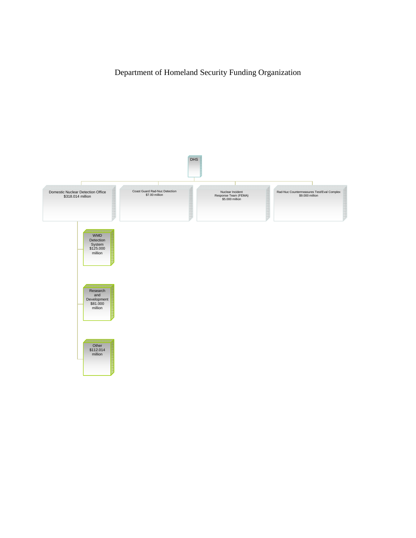Department of Homeland Security Funding Organization

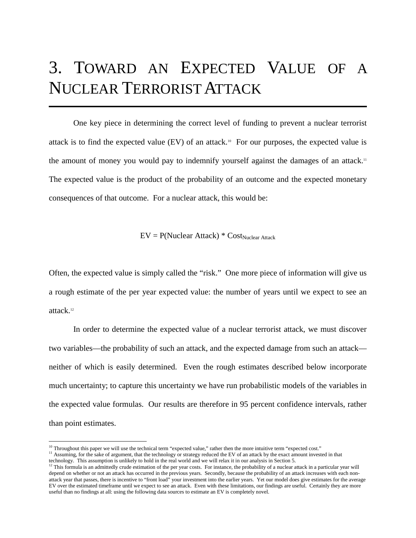## 3. TOWARD AN EXPECTED VALUE OF A NUCLEAR TERRORIST ATTACK

One key piece in determining the correct level of funding to prevent a nuclear terrorist attack is to find the expected value  $(EV)$  of an attack.<sup>10</sup> For our purposes, the expected value is the amount of money you would pay to indemnify yourself against the damages of an attack.11 The expected value is the product of the probability of an outcome and the expected monetary consequences of that outcome. For a nuclear attack, this would be:

 $EV = P(Nuclear Attack) * Cost_{Nuclear Attack}$ 

Often, the expected value is simply called the "risk." One more piece of information will give us a rough estimate of the per year expected value: the number of years until we expect to see an attack.12

In order to determine the expected value of a nuclear terrorist attack, we must discover two variables—the probability of such an attack, and the expected damage from such an attack neither of which is easily determined. Even the rough estimates described below incorporate much uncertainty; to capture this uncertainty we have run probabilistic models of the variables in the expected value formulas. Our results are therefore in 95 percent confidence intervals, rather than point estimates.

<sup>&</sup>lt;sup>10</sup> Throughout this paper we will use the technical term "expected value," rather then the more intuitive term "expected cost."

<sup>&</sup>lt;sup>11</sup> Assuming, for the sake of argument, that the technology or strategy reduced the EV of an attack by the exact amount invested in that technology. This assumption is unlikely to hold in the real world and we will relax it in our analysis in Section 5.

<sup>&</sup>lt;sup>12</sup> This formula is an admittedly crude estimation of the per year costs. For instance, the probability of a nuclear attack in a particular year will depend on whether or not an attack has occurred in the previous years. Secondly, because the probability of an attack increases with each nonattack year that passes, there is incentive to "front load" your investment into the earlier years. Yet our model does give estimates for the average EV over the estimated timeframe until we expect to see an attack. Even with these limitations, our findings are useful. Certainly they are more useful than no findings at all: using the following data sources to estimate an EV is completely novel.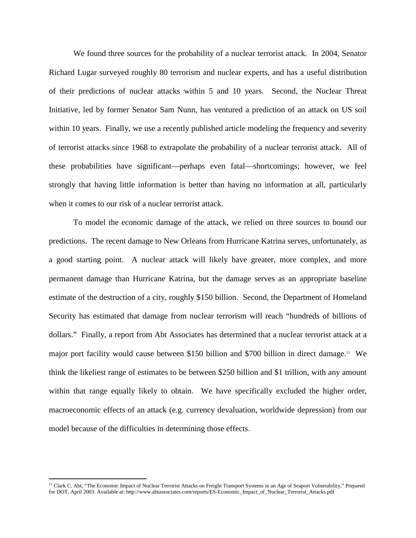We found three sources for the probability of a nuclear terrorist attack. In 2004, Senator Richard Lugar surveyed roughly 80 terrorism and nuclear experts, and has a useful distribution of their predictions of nuclear attacks within 5 and 10 years. Second, the Nuclear Threat Initiative, led by former Senator Sam Nunn, has ventured a prediction of an attack on US soil within 10 years. Finally, we use a recently published article modeling the frequency and severity of terrorist attacks since 1968 to extrapolate the probability of a nuclear terrorist attack. All of these probabilities have significant—perhaps even fatal—shortcomings; however, we feel strongly that having little information is better than having no information at all, particularly when it comes to our risk of a nuclear terrorist attack.

To model the economic damage of the attack, we relied on three sources to bound our predictions. The recent damage to New Orleans from Hurricane Katrina serves, unfortunately, as a good starting point. A nuclear attack will likely have greater, more complex, and more permanent damage than Hurricane Katrina, but the damage serves as an appropriate baseline estimate of the destruction of a city, roughly \$150 billion. Second, the Department of Homeland Security has estimated that damage from nuclear terrorism will reach "hundreds of billions of dollars." Finally, a report from Abt Associates has determined that a nuclear terrorist attack at a major port facility would cause between \$150 billion and \$700 billion in direct damage.13 We think the likeliest range of estimates to be between \$250 billion and \$1 trillion, with any amount within that range equally likely to obtain. We have specifically excluded the higher order, macroeconomic effects of an attack (e.g. currency devaluation, worldwide depression) from our model because of the difficulties in determining those effects.

<u>.</u>

<sup>&</sup>lt;sup>13</sup> Clark C. Abt, "The Economic Impact of Nuclear Terrorist Attacks on Freight Transport Systems in an Age of Seaport Vulnerability," Prepared for DOT, April 2003. Available at: http://www.abtassociates.com/reports/ES-Economic\_Impact\_of\_Nuclear\_Terrorist\_Attacks.pdf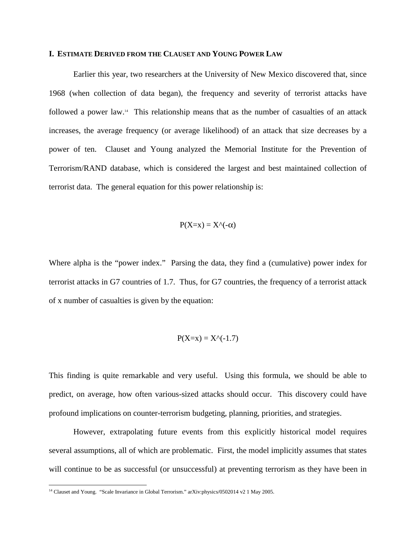#### **I. ESTIMATE DERIVED FROM THE CLAUSET AND YOUNG POWER LAW**

Earlier this year, two researchers at the University of New Mexico discovered that, since 1968 (when collection of data began), the frequency and severity of terrorist attacks have followed a power law.14 This relationship means that as the number of casualties of an attack increases, the average frequency (or average likelihood) of an attack that size decreases by a power of ten. Clauset and Young analyzed the Memorial Institute for the Prevention of Terrorism/RAND database, which is considered the largest and best maintained collection of terrorist data. The general equation for this power relationship is:

$$
P(X=x) = X^{\wedge}(-\alpha)
$$

Where alpha is the "power index." Parsing the data, they find a (cumulative) power index for terrorist attacks in G7 countries of 1.7. Thus, for G7 countries, the frequency of a terrorist attack of x number of casualties is given by the equation:

$$
P(X=x) = X^{\wedge}(-1.7)
$$

This finding is quite remarkable and very useful. Using this formula, we should be able to predict, on average, how often various-sized attacks should occur. This discovery could have profound implications on counter-terrorism budgeting, planning, priorities, and strategies.

However, extrapolating future events from this explicitly historical model requires several assumptions, all of which are problematic. First, the model implicitly assumes that states will continue to be as successful (or unsuccessful) at preventing terrorism as they have been in

<sup>&</sup>lt;sup>14</sup> Clauset and Young. "Scale Invariance in Global Terrorism." arXiv:physics/0502014 v2 1 May 2005.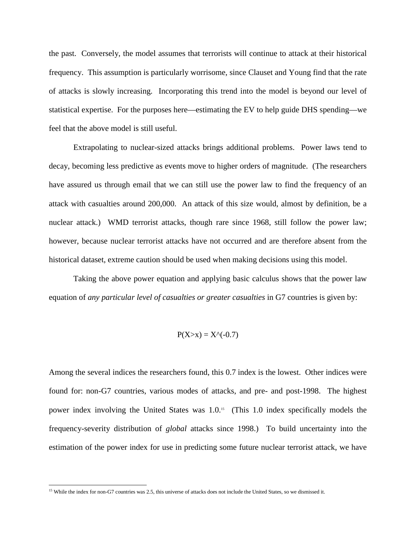the past. Conversely, the model assumes that terrorists will continue to attack at their historical frequency. This assumption is particularly worrisome, since Clauset and Young find that the rate of attacks is slowly increasing. Incorporating this trend into the model is beyond our level of statistical expertise. For the purposes here—estimating the EV to help guide DHS spending—we feel that the above model is still useful.

Extrapolating to nuclear-sized attacks brings additional problems. Power laws tend to decay, becoming less predictive as events move to higher orders of magnitude. (The researchers have assured us through email that we can still use the power law to find the frequency of an attack with casualties around 200,000. An attack of this size would, almost by definition, be a nuclear attack.) WMD terrorist attacks, though rare since 1968, still follow the power law; however, because nuclear terrorist attacks have not occurred and are therefore absent from the historical dataset, extreme caution should be used when making decisions using this model.

Taking the above power equation and applying basic calculus shows that the power law equation of *any particular level of casualties or greater casualties* in G7 countries is given by:

$$
P(X>x) = X^{\wedge}(-0.7)
$$

Among the several indices the researchers found, this 0.7 index is the lowest. Other indices were found for: non-G7 countries, various modes of attacks, and pre- and post-1998. The highest power index involving the United States was 1.0.15 (This 1.0 index specifically models the frequency-severity distribution of *global* attacks since 1998.) To build uncertainty into the estimation of the power index for use in predicting some future nuclear terrorist attack, we have

<sup>&</sup>lt;sup>15</sup> While the index for non-G7 countries was 2.5, this universe of attacks does not include the United States, so we dismissed it.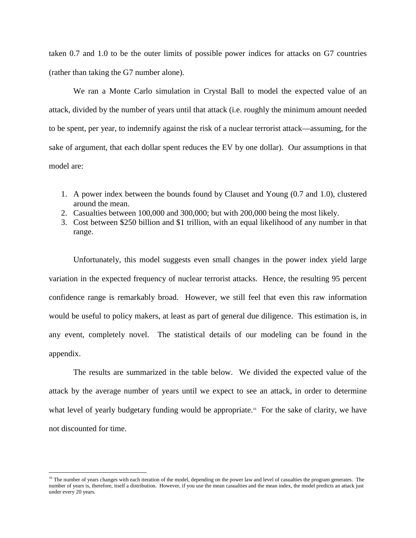taken 0.7 and 1.0 to be the outer limits of possible power indices for attacks on G7 countries (rather than taking the G7 number alone).

We ran a Monte Carlo simulation in Crystal Ball to model the expected value of an attack, divided by the number of years until that attack (i.e. roughly the minimum amount needed to be spent, per year, to indemnify against the risk of a nuclear terrorist attack—assuming, for the sake of argument, that each dollar spent reduces the EV by one dollar). Our assumptions in that model are:

- 1. A power index between the bounds found by Clauset and Young (0.7 and 1.0), clustered around the mean.
- 2. Casualties between 100,000 and 300,000; but with 200,000 being the most likely.
- 3. Cost between \$250 billion and \$1 trillion, with an equal likelihood of any number in that range.

Unfortunately, this model suggests even small changes in the power index yield large variation in the expected frequency of nuclear terrorist attacks. Hence, the resulting 95 percent confidence range is remarkably broad. However, we still feel that even this raw information would be useful to policy makers, at least as part of general due diligence. This estimation is, in any event, completely novel. The statistical details of our modeling can be found in the appendix.

The results are summarized in the table below. We divided the expected value of the attack by the average number of years until we expect to see an attack, in order to determine what level of yearly budgetary funding would be appropriate.<sup>16</sup> For the sake of clarity, we have not discounted for time.

<sup>&</sup>lt;sup>16</sup> The number of years changes with each iteration of the model, depending on the power law and level of casualties the program generates. The number of years is, therefore, itself a distribution. However, if you use the mean casualties and the mean index, the model predicts an attack just under every 20 years.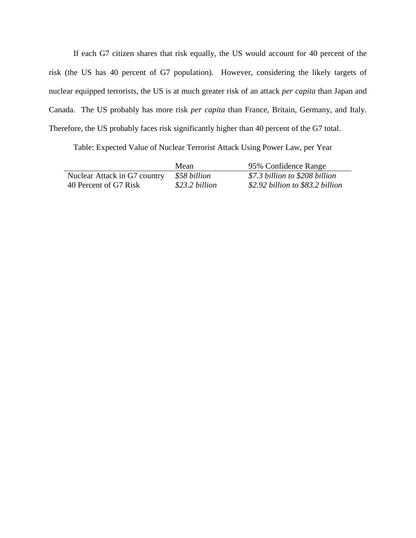If each G7 citizen shares that risk equally, the US would account for 40 percent of the risk (the US has 40 percent of G7 population). However, considering the likely targets of nuclear equipped terrorists, the US is at much greater risk of an attack *per capita* than Japan and Canada. The US probably has more risk *per capita* than France, Britain, Germany, and Italy. Therefore, the US probably faces risk significantly higher than 40 percent of the G7 total.

Table: Expected Value of Nuclear Terrorist Attack Using Power Law, per Year

|                              | Mean           | 95% Confidence Range             |
|------------------------------|----------------|----------------------------------|
| Nuclear Attack in G7 country | \$58 billion   | \$7.3 billion to \$208 billion   |
| 40 Percent of G7 Risk        | \$23.2 billion | \$2.92 billion to \$83.2 billion |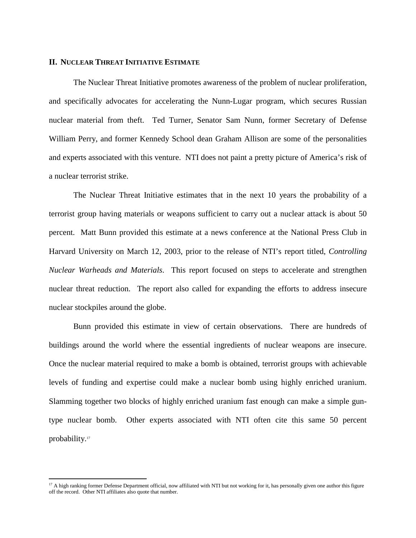#### **II. NUCLEAR THREAT INITIATIVE ESTIMATE**

<u>.</u>

The Nuclear Threat Initiative promotes awareness of the problem of nuclear proliferation, and specifically advocates for accelerating the Nunn-Lugar program, which secures Russian nuclear material from theft. Ted Turner, Senator Sam Nunn, former Secretary of Defense William Perry, and former Kennedy School dean Graham Allison are some of the personalities and experts associated with this venture. NTI does not paint a pretty picture of America's risk of a nuclear terrorist strike.

The Nuclear Threat Initiative estimates that in the next 10 years the probability of a terrorist group having materials or weapons sufficient to carry out a nuclear attack is about 50 percent. Matt Bunn provided this estimate at a news conference at the National Press Club in Harvard University on March 12, 2003, prior to the release of NTI's report titled, *Controlling Nuclear Warheads and Materials*. This report focused on steps to accelerate and strengthen nuclear threat reduction. The report also called for expanding the efforts to address insecure nuclear stockpiles around the globe.

Bunn provided this estimate in view of certain observations. There are hundreds of buildings around the world where the essential ingredients of nuclear weapons are insecure. Once the nuclear material required to make a bomb is obtained, terrorist groups with achievable levels of funding and expertise could make a nuclear bomb using highly enriched uranium. Slamming together two blocks of highly enriched uranium fast enough can make a simple guntype nuclear bomb. Other experts associated with NTI often cite this same 50 percent probability.<sup>17</sup>

<sup>&</sup>lt;sup>17</sup> A high ranking former Defense Department official, now affiliated with NTI but not working for it, has personally given one author this figure off the record. Other NTI affiliates also quote that number.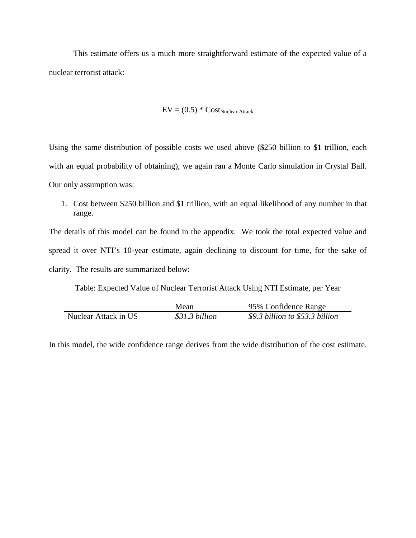This estimate offers us a much more straightforward estimate of the expected value of a nuclear terrorist attack:

$$
EV = (0.5) * Cost_{Nuclear Attack}
$$

Using the same distribution of possible costs we used above (\$250 billion to \$1 trillion, each with an equal probability of obtaining), we again ran a Monte Carlo simulation in Crystal Ball. Our only assumption was:

1. Cost between \$250 billion and \$1 trillion, with an equal likelihood of any number in that range.

The details of this model can be found in the appendix. We took the total expected value and spread it over NTI's 10-year estimate, again declining to discount for time, for the sake of clarity. The results are summarized below:

Table: Expected Value of Nuclear Terrorist Attack Using NTI Estimate, per Year

|                      | Mean           | 95% Confidence Range            |
|----------------------|----------------|---------------------------------|
| Nuclear Attack in US | \$31.3 billion | \$9.3 billion to \$53.3 billion |

In this model, the wide confidence range derives from the wide distribution of the cost estimate.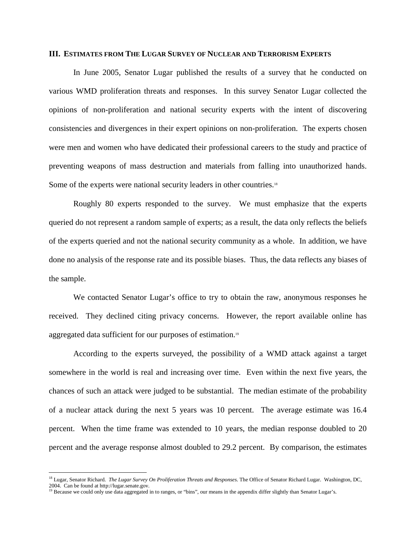#### **III. ESTIMATES FROM THE LUGAR SURVEY OF NUCLEAR AND TERRORISM EXPERTS**

In June 2005, Senator Lugar published the results of a survey that he conducted on various WMD proliferation threats and responses. In this survey Senator Lugar collected the opinions of non-proliferation and national security experts with the intent of discovering consistencies and divergences in their expert opinions on non-proliferation. The experts chosen were men and women who have dedicated their professional careers to the study and practice of preventing weapons of mass destruction and materials from falling into unauthorized hands. Some of the experts were national security leaders in other countries.<sup>18</sup>

Roughly 80 experts responded to the survey. We must emphasize that the experts queried do not represent a random sample of experts; as a result, the data only reflects the beliefs of the experts queried and not the national security community as a whole. In addition, we have done no analysis of the response rate and its possible biases. Thus, the data reflects any biases of the sample.

We contacted Senator Lugar's office to try to obtain the raw, anonymous responses he received. They declined citing privacy concerns. However, the report available online has aggregated data sufficient for our purposes of estimation.19

According to the experts surveyed, the possibility of a WMD attack against a target somewhere in the world is real and increasing over time. Even within the next five years, the chances of such an attack were judged to be substantial. The median estimate of the probability of a nuclear attack during the next 5 years was 10 percent. The average estimate was 16.4 percent. When the time frame was extended to 10 years, the median response doubled to 20 percent and the average response almost doubled to 29.2 percent. By comparison, the estimates

<sup>&</sup>lt;sup>18</sup> Lugar, Senator Richard. *The Lugar Survey On Proliferation Threats and Responses*. The Office of Senator Richard Lugar. Washington, DC, 2004. Can be found at http://lugar.senate.gov.

<sup>&</sup>lt;sup>19</sup> Because we could only use data aggregated in to ranges, or "bins", our means in the appendix differ slightly than Senator Lugar's.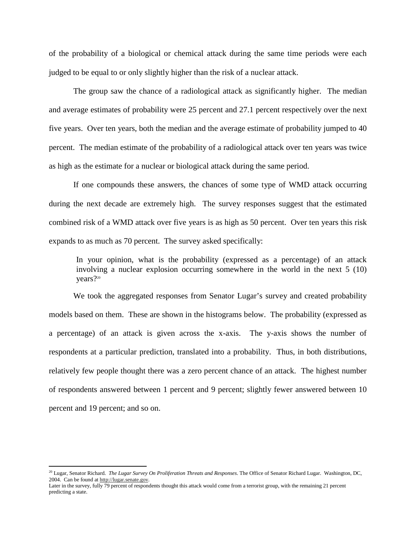of the probability of a biological or chemical attack during the same time periods were each judged to be equal to or only slightly higher than the risk of a nuclear attack.

The group saw the chance of a radiological attack as significantly higher. The median and average estimates of probability were 25 percent and 27.1 percent respectively over the next five years. Over ten years, both the median and the average estimate of probability jumped to 40 percent. The median estimate of the probability of a radiological attack over ten years was twice as high as the estimate for a nuclear or biological attack during the same period.

If one compounds these answers, the chances of some type of WMD attack occurring during the next decade are extremely high. The survey responses suggest that the estimated combined risk of a WMD attack over five years is as high as 50 percent. Over ten years this risk expands to as much as 70 percent. The survey asked specifically:

In your opinion, what is the probability (expressed as a percentage) of an attack involving a nuclear explosion occurring somewhere in the world in the next 5 (10) years?20

We took the aggregated responses from Senator Lugar's survey and created probability models based on them. These are shown in the histograms below. The probability (expressed as a percentage) of an attack is given across the x-axis. The y-axis shows the number of respondents at a particular prediction, translated into a probability. Thus, in both distributions, relatively few people thought there was a zero percent chance of an attack. The highest number of respondents answered between 1 percent and 9 percent; slightly fewer answered between 10 percent and 19 percent; and so on.

<sup>20</sup> Lugar, Senator Richard. *The Lugar Survey On Proliferation Threats and Responses*. The Office of Senator Richard Lugar. Washington, DC, 2004. Can be found at http://lugar.senate.gov.

Later in the survey, fully 79 percent of respondents thought this attack would come from a terrorist group, with the remaining 21 percent predicting a state.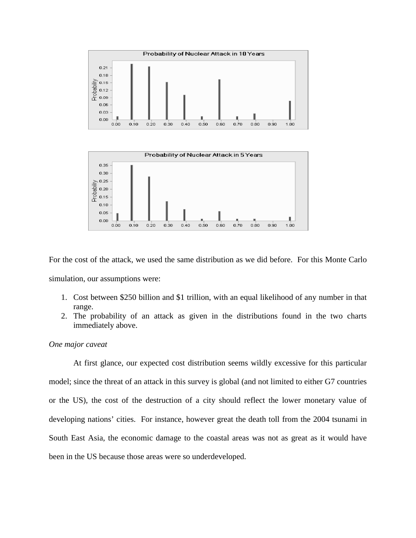



For the cost of the attack, we used the same distribution as we did before. For this Monte Carlo simulation, our assumptions were:

- 1. Cost between \$250 billion and \$1 trillion, with an equal likelihood of any number in that range.
- 2. The probability of an attack as given in the distributions found in the two charts immediately above.

#### *One major caveat*

At first glance, our expected cost distribution seems wildly excessive for this particular model; since the threat of an attack in this survey is global (and not limited to either G7 countries or the US), the cost of the destruction of a city should reflect the lower monetary value of developing nations' cities. For instance, however great the death toll from the 2004 tsunami in South East Asia, the economic damage to the coastal areas was not as great as it would have been in the US because those areas were so underdeveloped.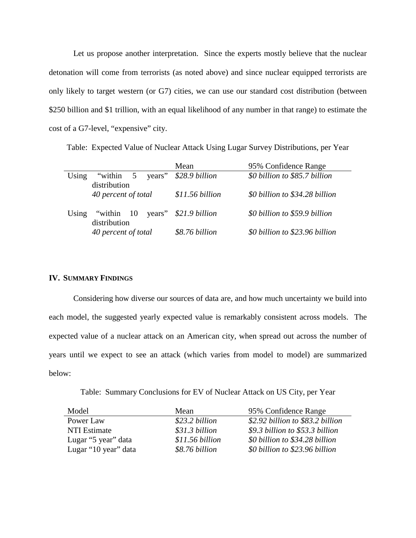Let us propose another interpretation. Since the experts mostly believe that the nuclear detonation will come from terrorists (as noted above) and since nuclear equipped terrorists are only likely to target western (or G7) cities, we can use our standard cost distribution (between \$250 billion and \$1 trillion, with an equal likelihood of any number in that range) to estimate the cost of a G7-level, "expensive" city.

Table: Expected Value of Nuclear Attack Using Lugar Survey Distributions, per Year

|       |                                    | Mean                  | 95% Confidence Range           |
|-------|------------------------------------|-----------------------|--------------------------------|
| Using | "within 5<br>years"                | \$28.9 billion        | \$0 billion to \$85.7 billion  |
|       | distribution                       |                       |                                |
|       | 40 percent of total                | \$11.56 billion       | \$0 billion to \$34.28 billion |
|       | Using "within $10$<br>distribution | years" \$21.9 billion | \$0 billion to \$59.9 billion  |
|       | 40 percent of total                | \$8.76 billion        | \$0 billion to \$23.96 billion |

#### **IV. SUMMARY FINDINGS**

Considering how diverse our sources of data are, and how much uncertainty we build into each model, the suggested yearly expected value is remarkably consistent across models. The expected value of a nuclear attack on an American city, when spread out across the number of years until we expect to see an attack (which varies from model to model) are summarized below:

Table: Summary Conclusions for EV of Nuclear Attack on US City, per Year

| Model                | Mean            | 95% Confidence Range             |
|----------------------|-----------------|----------------------------------|
| Power Law            | \$23.2 billion  | \$2.92 billion to \$83.2 billion |
| <b>NTI Estimate</b>  | \$31.3 billion  | \$9.3 billion to \$53.3 billion  |
| Lugar "5 year" data  | \$11.56 billion | \$0 billion to \$34.28 billion   |
| Lugar "10 year" data | \$8.76 billion  | \$0 billion to \$23.96 billion   |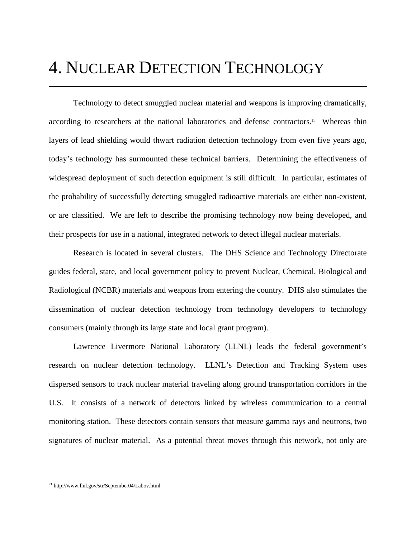### 4. NUCLEAR DETECTION TECHNOLOGY

Technology to detect smuggled nuclear material and weapons is improving dramatically, according to researchers at the national laboratories and defense contractors.<sup>21</sup> Whereas thin layers of lead shielding would thwart radiation detection technology from even five years ago, today's technology has surmounted these technical barriers. Determining the effectiveness of widespread deployment of such detection equipment is still difficult. In particular, estimates of the probability of successfully detecting smuggled radioactive materials are either non-existent, or are classified. We are left to describe the promising technology now being developed, and their prospects for use in a national, integrated network to detect illegal nuclear materials.

Research is located in several clusters. The DHS Science and Technology Directorate guides federal, state, and local government policy to prevent Nuclear, Chemical, Biological and Radiological (NCBR) materials and weapons from entering the country. DHS also stimulates the dissemination of nuclear detection technology from technology developers to technology consumers (mainly through its large state and local grant program).

Lawrence Livermore National Laboratory (LLNL) leads the federal government's research on nuclear detection technology. LLNL's Detection and Tracking System uses dispersed sensors to track nuclear material traveling along ground transportation corridors in the U.S. It consists of a network of detectors linked by wireless communication to a central monitoring station. These detectors contain sensors that measure gamma rays and neutrons, two signatures of nuclear material. As a potential threat moves through this network, not only are

<sup>&</sup>lt;sup>21</sup> http://www.llnl.gov/str/September04/Labov.html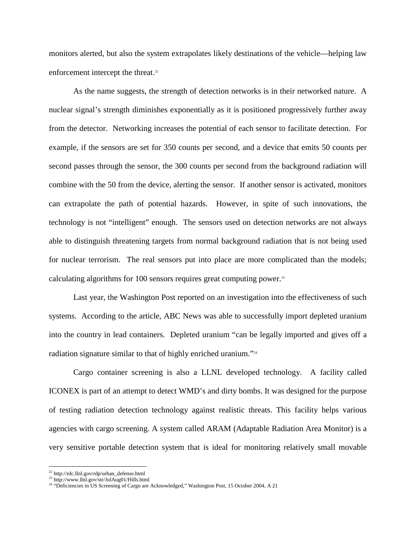monitors alerted, but also the system extrapolates likely destinations of the vehicle—helping law enforcement intercept the threat.<sup>22</sup>

As the name suggests, the strength of detection networks is in their networked nature. A nuclear signal's strength diminishes exponentially as it is positioned progressively further away from the detector. Networking increases the potential of each sensor to facilitate detection. For example, if the sensors are set for 350 counts per second, and a device that emits 50 counts per second passes through the sensor, the 300 counts per second from the background radiation will combine with the 50 from the device, alerting the sensor. If another sensor is activated, monitors can extrapolate the path of potential hazards. However, in spite of such innovations, the technology is not "intelligent" enough. The sensors used on detection networks are not always able to distinguish threatening targets from normal background radiation that is not being used for nuclear terrorism. The real sensors put into place are more complicated than the models; calculating algorithms for 100 sensors requires great computing power.23

Last year, the Washington Post reported on an investigation into the effectiveness of such systems. According to the article, ABC News was able to successfully import depleted uranium into the country in lead containers. Depleted uranium "can be legally imported and gives off a radiation signature similar to that of highly enriched uranium."<sup>24</sup>

Cargo container screening is also a LLNL developed technology. A facility called ICONEX is part of an attempt to detect WMD's and dirty bombs. It was designed for the purpose of testing radiation detection technology against realistic threats. This facility helps various agencies with cargo screening. A system called ARAM (Adaptable Radiation Area Monitor) is a very sensitive portable detection system that is ideal for monitoring relatively small movable

<sup>22</sup> http://rdc.llnl.gov/rdp/urban\_defense.html

<sup>23</sup> http://www.llnl.gov/str/JulAug01/Hills.html

<sup>&</sup>lt;sup>24</sup> "Deficiencies in US Screening of Cargo are Acknowledged," Washington Post, 15 October 2004, A 21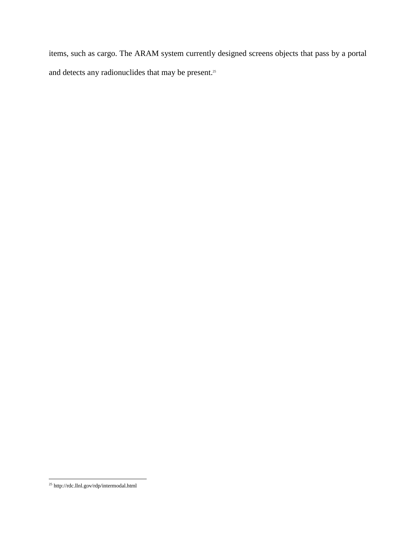items, such as cargo. The ARAM system currently designed screens objects that pass by a portal and detects any radionuclides that may be present.<sup>25</sup>

<sup>-</sup><sup>25</sup> http://rdc.llnl.gov/rdp/intermodal.html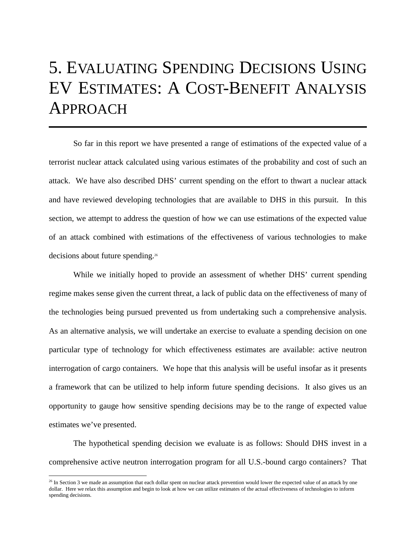## 5. EVALUATING SPENDING DECISIONS USING EV ESTIMATES: A COST-BENEFIT ANALYSIS APPROACH

 So far in this report we have presented a range of estimations of the expected value of a terrorist nuclear attack calculated using various estimates of the probability and cost of such an attack. We have also described DHS' current spending on the effort to thwart a nuclear attack and have reviewed developing technologies that are available to DHS in this pursuit. In this section, we attempt to address the question of how we can use estimations of the expected value of an attack combined with estimations of the effectiveness of various technologies to make decisions about future spending.26

 While we initially hoped to provide an assessment of whether DHS' current spending regime makes sense given the current threat, a lack of public data on the effectiveness of many of the technologies being pursued prevented us from undertaking such a comprehensive analysis. As an alternative analysis, we will undertake an exercise to evaluate a spending decision on one particular type of technology for which effectiveness estimates are available: active neutron interrogation of cargo containers. We hope that this analysis will be useful insofar as it presents a framework that can be utilized to help inform future spending decisions. It also gives us an opportunity to gauge how sensitive spending decisions may be to the range of expected value estimates we've presented.

The hypothetical spending decision we evaluate is as follows: Should DHS invest in a comprehensive active neutron interrogation program for all U.S.-bound cargo containers? That

 $^{26}$  In Section 3 we made an assumption that each dollar spent on nuclear attack prevention would lower the expected value of an attack by one dollar. Here we relax this assumption and begin to look at how we can utilize estimates of the actual effectiveness of technologies to inform spending decisions.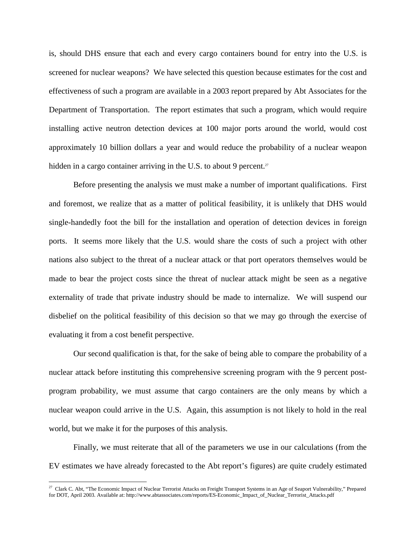is, should DHS ensure that each and every cargo containers bound for entry into the U.S. is screened for nuclear weapons? We have selected this question because estimates for the cost and effectiveness of such a program are available in a 2003 report prepared by Abt Associates for the Department of Transportation. The report estimates that such a program, which would require installing active neutron detection devices at 100 major ports around the world, would cost approximately 10 billion dollars a year and would reduce the probability of a nuclear weapon hidden in a cargo container arriving in the U.S. to about 9 percent.<sup>27</sup>

Before presenting the analysis we must make a number of important qualifications. First and foremost, we realize that as a matter of political feasibility, it is unlikely that DHS would single-handedly foot the bill for the installation and operation of detection devices in foreign ports. It seems more likely that the U.S. would share the costs of such a project with other nations also subject to the threat of a nuclear attack or that port operators themselves would be made to bear the project costs since the threat of nuclear attack might be seen as a negative externality of trade that private industry should be made to internalize. We will suspend our disbelief on the political feasibility of this decision so that we may go through the exercise of evaluating it from a cost benefit perspective.

Our second qualification is that, for the sake of being able to compare the probability of a nuclear attack before instituting this comprehensive screening program with the 9 percent postprogram probability, we must assume that cargo containers are the only means by which a nuclear weapon could arrive in the U.S. Again, this assumption is not likely to hold in the real world, but we make it for the purposes of this analysis.

Finally, we must reiterate that all of the parameters we use in our calculations (from the EV estimates we have already forecasted to the Abt report's figures) are quite crudely estimated

<sup>&</sup>lt;sup>27</sup> Clark C. Abt, "The Economic Impact of Nuclear Terrorist Attacks on Freight Transport Systems in an Age of Seaport Vulnerability," Prepared for DOT, April 2003. Available at: http://www.abtassociates.com/reports/ES-Economic\_Impact\_of\_Nuclear\_Terrorist\_Attacks.pdf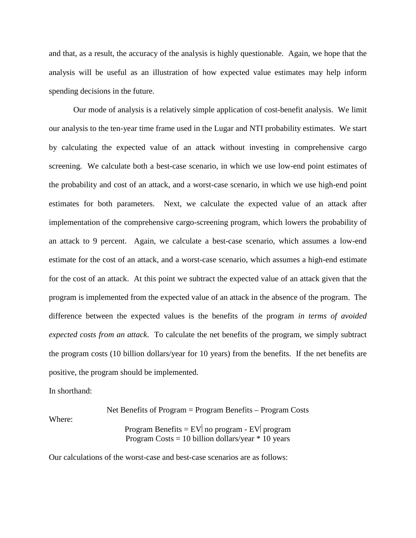and that, as a result, the accuracy of the analysis is highly questionable. Again, we hope that the analysis will be useful as an illustration of how expected value estimates may help inform spending decisions in the future.

Our mode of analysis is a relatively simple application of cost-benefit analysis. We limit our analysis to the ten-year time frame used in the Lugar and NTI probability estimates. We start by calculating the expected value of an attack without investing in comprehensive cargo screening. We calculate both a best-case scenario, in which we use low-end point estimates of the probability and cost of an attack, and a worst-case scenario, in which we use high-end point estimates for both parameters. Next, we calculate the expected value of an attack after implementation of the comprehensive cargo-screening program, which lowers the probability of an attack to 9 percent. Again, we calculate a best-case scenario, which assumes a low-end estimate for the cost of an attack, and a worst-case scenario, which assumes a high-end estimate for the cost of an attack. At this point we subtract the expected value of an attack given that the program is implemented from the expected value of an attack in the absence of the program. The difference between the expected values is the benefits of the program *in terms of avoided expected costs from an attack*. To calculate the net benefits of the program, we simply subtract the program costs (10 billion dollars/year for 10 years) from the benefits. If the net benefits are positive, the program should be implemented.

In shorthand:

Where:

Net Benefits of Program = Program Benefits – Program Costs Program Benefits =  $EV|$  no program -  $EV|$  program Program Costs  $= 10$  billion dollars/year  $* 10$  years

Our calculations of the worst-case and best-case scenarios are as follows: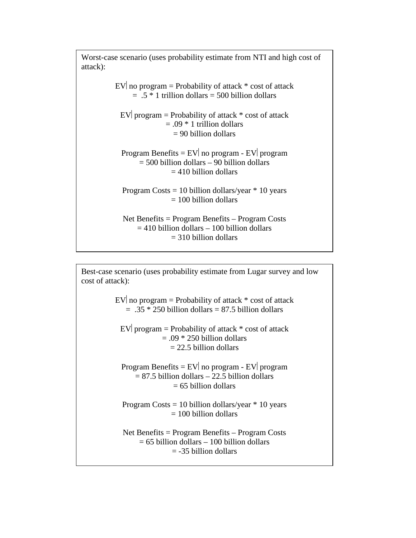Worst-case scenario (uses probability estimate from NTI and high cost of attack):

> EV no program = Probability of attack  $*$  cost of attack  $= .5 * 1$  trillion dollars  $= 500$  billion dollars EV program = Probability of attack  $*$  cost of attack  $= .09 * 1$  trillion dollars = 90 billion dollars Program Benefits =  $EV|$  no program -  $EV|$  program = 500 billion dollars – 90 billion dollars  $= 410$  billion dollars Program Costs  $= 10$  billion dollars/year  $* 10$  years  $= 100$  billion dollars Net Benefits = Program Benefits – Program Costs  $= 410$  billion dollars – 100 billion dollars

 $= 310$  billion dollars

Best-case scenario (uses probability estimate from Lugar survey and low cost of attack):

> EV no program = Probability of attack  $*$  cost of attack  $= .35 * 250$  billion dollars  $= 87.5$  billion dollars

EV program = Probability of attack  $*$  cost of attack  $= .09 * 250$  billion dollars  $= 22.5$  billion dollars

Program Benefits =  $EV|$  no program -  $EV|$  program  $= 87.5$  billion dollars  $- 22.5$  billion dollars  $= 65$  billion dollars

Program Costs  $= 10$  billion dollars/year  $* 10$  years  $= 100$  billion dollars

Net Benefits = Program Benefits – Program Costs  $= 65$  billion dollars – 100 billion dollars  $=$  -35 billion dollars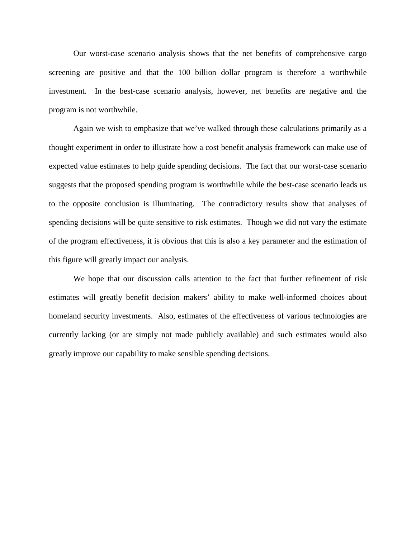Our worst-case scenario analysis shows that the net benefits of comprehensive cargo screening are positive and that the 100 billion dollar program is therefore a worthwhile investment. In the best-case scenario analysis, however, net benefits are negative and the program is not worthwhile.

 Again we wish to emphasize that we've walked through these calculations primarily as a thought experiment in order to illustrate how a cost benefit analysis framework can make use of expected value estimates to help guide spending decisions. The fact that our worst-case scenario suggests that the proposed spending program is worthwhile while the best-case scenario leads us to the opposite conclusion is illuminating. The contradictory results show that analyses of spending decisions will be quite sensitive to risk estimates. Though we did not vary the estimate of the program effectiveness, it is obvious that this is also a key parameter and the estimation of this figure will greatly impact our analysis.

We hope that our discussion calls attention to the fact that further refinement of risk estimates will greatly benefit decision makers' ability to make well-informed choices about homeland security investments. Also, estimates of the effectiveness of various technologies are currently lacking (or are simply not made publicly available) and such estimates would also greatly improve our capability to make sensible spending decisions.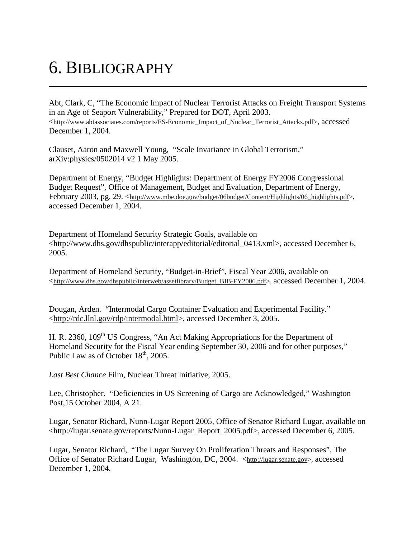## 6. BIBLIOGRAPHY

Abt, Clark, C, "The Economic Impact of Nuclear Terrorist Attacks on Freight Transport Systems in an Age of Seaport Vulnerability," Prepared for DOT, April 2003. <http://www.abtassociates.com/reports/ES-Economic\_Impact\_of\_Nuclear\_Terrorist\_Attacks.pdf>, accessed December 1, 2004.

Clauset, Aaron and Maxwell Young, "Scale Invariance in Global Terrorism." arXiv:physics/0502014 v2 1 May 2005.

Department of Energy, "Budget Highlights: Department of Energy FY2006 Congressional Budget Request", Office of Management, Budget and Evaluation, Department of Energy, February 2003, pg. 29. <http://www.mbe.doe.gov/budget/06budget/Content/Highlights/06\_highlights.pdf>, accessed December 1, 2004.

Department of Homeland Security Strategic Goals, available on <http://www.dhs.gov/dhspublic/interapp/editorial/editorial\_0413.xml>, accessed December 6, 2005.

Department of Homeland Security, "Budget-in-Brief", Fiscal Year 2006, available on <http://www.dhs.gov/dhspublic/interweb/assetlibrary/Budget\_BIB-FY2006.pdf>, accessed December 1, 2004.

Dougan, Arden. "Intermodal Cargo Container Evaluation and Experimental Facility." <http://rdc.llnl.gov/rdp/intermodal.html>, accessed December 3, 2005.

H. R. 2360, 109<sup>th</sup> US Congress, "An Act Making Appropriations for the Department of Homeland Security for the Fiscal Year ending September 30, 2006 and for other purposes," Public Law as of October  $18<sup>th</sup>$ , 2005.

*Last Best Chance* Film, Nuclear Threat Initiative, 2005.

Lee, Christopher. "Deficiencies in US Screening of Cargo are Acknowledged," Washington Post,15 October 2004, A 21.

Lugar, Senator Richard, Nunn-Lugar Report 2005, Office of Senator Richard Lugar, available on <http://lugar.senate.gov/reports/Nunn-Lugar\_Report\_2005.pdf>, accessed December 6, 2005.

Lugar, Senator Richard, "The Lugar Survey On Proliferation Threats and Responses", The Office of Senator Richard Lugar, Washington, DC, 2004. <http://lugar.senate.gov>, accessed December 1, 2004.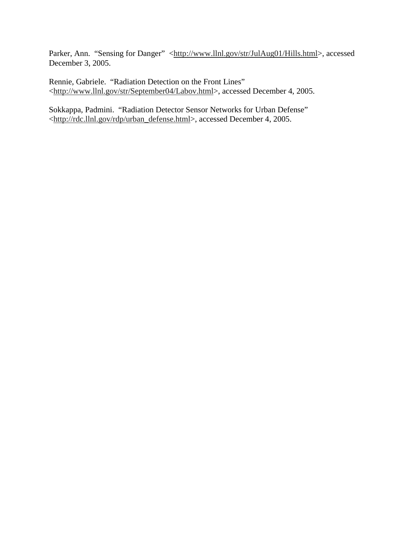Parker, Ann. "Sensing for Danger" <http://www.llnl.gov/str/JulAug01/Hills.html>, accessed December 3, 2005.

Rennie, Gabriele. "Radiation Detection on the Front Lines" <http://www.llnl.gov/str/September04/Labov.html>, accessed December 4, 2005.

Sokkappa, Padmini. "Radiation Detector Sensor Networks for Urban Defense" <http://rdc.llnl.gov/rdp/urban\_defense.html>, accessed December 4, 2005.